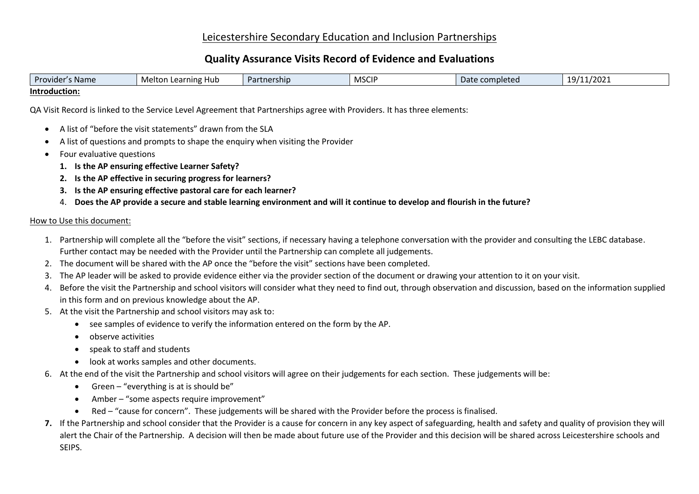## Leicestershire Secondary Education and Inclusion Partnerships

# **Quality Assurance Visits Record of Evidence and Evaluations**

| Provider<br>s Name i | Melton Learning<br>Hub | <b>Partnership</b> | <b>MSCIP</b> | Date completed | 19/11/2021 |
|----------------------|------------------------|--------------------|--------------|----------------|------------|
| Introduction:        |                        |                    |              |                |            |

QA Visit Record is linked to the Service Level Agreement that Partnerships agree with Providers. It has three elements:

- A list of "before the visit statements" drawn from the SLA
- A list of questions and prompts to shape the enquiry when visiting the Provider
- Four evaluative questions
	- **1. Is the AP ensuring effective Learner Safety?**
	- **2. Is the AP effective in securing progress for learners?**
	- **3. Is the AP ensuring effective pastoral care for each learner?**
	- 4. **Does the AP provide a secure and stable learning environment and will it continue to develop and flourish in the future?**

#### How to Use this document:

- 1. Partnership will complete all the "before the visit" sections, if necessary having a telephone conversation with the provider and consulting the LEBC database. Further contact may be needed with the Provider until the Partnership can complete all judgements.
- 2. The document will be shared with the AP once the "before the visit" sections have been completed.
- 3. The AP leader will be asked to provide evidence either via the provider section of the document or drawing your attention to it on your visit.
- 4. Before the visit the Partnership and school visitors will consider what they need to find out, through observation and discussion, based on the information supplied in this form and on previous knowledge about the AP.
- 5. At the visit the Partnership and school visitors may ask to:
	- see samples of evidence to verify the information entered on the form by the AP.
	- observe activities
	- speak to staff and students
	- look at works samples and other documents.
- 6. At the end of the visit the Partnership and school visitors will agree on their judgements for each section. These judgements will be:
	- Green  $-$  "everything is at is should be"
	- Amber "some aspects require improvement"
	- Red "cause for concern". These judgements will be shared with the Provider before the process is finalised.
- **7.** If the Partnership and school consider that the Provider is a cause for concern in any key aspect of safeguarding, health and safety and quality of provision they will alert the Chair of the Partnership. A decision will then be made about future use of the Provider and this decision will be shared across Leicestershire schools and SEIPS.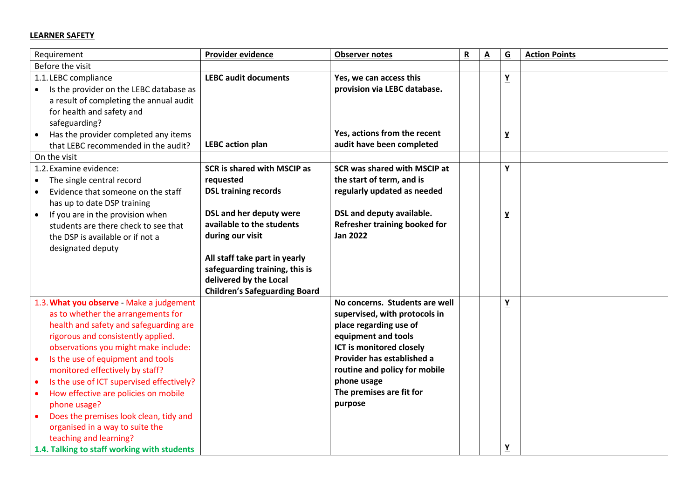### **LEARNER SAFETY**

| Requirement                                                       | Provider evidence                        | <b>Observer notes</b>                   | ${\sf R}$ | $\underline{\mathbf{A}}$ | $\underline{\mathsf{G}}$ | <b>Action Points</b> |
|-------------------------------------------------------------------|------------------------------------------|-----------------------------------------|-----------|--------------------------|--------------------------|----------------------|
| Before the visit                                                  |                                          |                                         |           |                          |                          |                      |
| 1.1. LEBC compliance                                              | <b>LEBC audit documents</b>              | Yes, we can access this                 |           |                          | <u>Y</u>                 |                      |
| Is the provider on the LEBC database as<br>$\bullet$              |                                          | provision via LEBC database.            |           |                          |                          |                      |
| a result of completing the annual audit                           |                                          |                                         |           |                          |                          |                      |
| for health and safety and                                         |                                          |                                         |           |                          |                          |                      |
| safeguarding?                                                     |                                          | Yes, actions from the recent            |           |                          |                          |                      |
| Has the provider completed any items<br>$\bullet$                 | <b>LEBC</b> action plan                  | audit have been completed               |           |                          | Y                        |                      |
| that LEBC recommended in the audit?                               |                                          |                                         |           |                          |                          |                      |
| On the visit<br>1.2. Examine evidence:                            |                                          | SCR was shared with MSCIP at            |           |                          |                          |                      |
|                                                                   | <b>SCR is shared with MSCIP as</b>       | the start of term, and is               |           |                          | $\underline{\mathbf{Y}}$ |                      |
| The single central record<br>Evidence that someone on the staff   | requested<br><b>DSL training records</b> | regularly updated as needed             |           |                          |                          |                      |
| $\bullet$<br>has up to date DSP training                          |                                          |                                         |           |                          |                          |                      |
| If you are in the provision when<br>$\bullet$                     | <b>DSL and her deputy were</b>           | DSL and deputy available.               |           |                          | Y                        |                      |
| students are there check to see that                              | available to the students                | Refresher training booked for           |           |                          |                          |                      |
| the DSP is available or if not a                                  | during our visit                         | <b>Jan 2022</b>                         |           |                          |                          |                      |
| designated deputy                                                 |                                          |                                         |           |                          |                          |                      |
|                                                                   | All staff take part in yearly            |                                         |           |                          |                          |                      |
|                                                                   | safeguarding training, this is           |                                         |           |                          |                          |                      |
|                                                                   | delivered by the Local                   |                                         |           |                          |                          |                      |
|                                                                   | <b>Children's Safeguarding Board</b>     |                                         |           |                          |                          |                      |
| 1.3. What you observe - Make a judgement                          |                                          | No concerns. Students are well          |           |                          | $\underline{Y}$          |                      |
| as to whether the arrangements for                                |                                          | supervised, with protocols in           |           |                          |                          |                      |
| health and safety and safeguarding are                            |                                          | place regarding use of                  |           |                          |                          |                      |
| rigorous and consistently applied.                                |                                          | equipment and tools                     |           |                          |                          |                      |
| observations you might make include:                              |                                          | ICT is monitored closely                |           |                          |                          |                      |
| Is the use of equipment and tools<br>$\bullet$                    |                                          | Provider has established a              |           |                          |                          |                      |
| monitored effectively by staff?                                   |                                          | routine and policy for mobile           |           |                          |                          |                      |
| Is the use of ICT supervised effectively?<br>$\bullet$            |                                          | phone usage<br>The premises are fit for |           |                          |                          |                      |
| How effective are policies on mobile<br>$\bullet$<br>phone usage? |                                          | purpose                                 |           |                          |                          |                      |
| Does the premises look clean, tidy and                            |                                          |                                         |           |                          |                          |                      |
| organised in a way to suite the                                   |                                          |                                         |           |                          |                          |                      |
| teaching and learning?                                            |                                          |                                         |           |                          |                          |                      |
| 1.4. Talking to staff working with students                       |                                          |                                         |           |                          | <u>Y</u>                 |                      |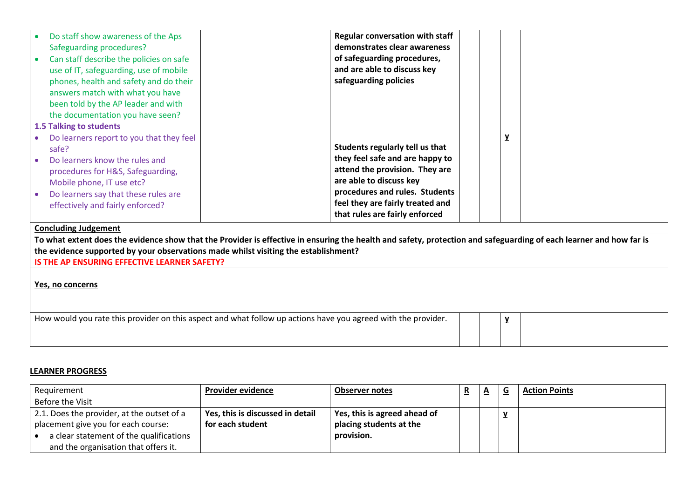| Do staff show awareness of the Aps                                                                                                                                 | <b>Regular conversation with staff</b> |   |  |
|--------------------------------------------------------------------------------------------------------------------------------------------------------------------|----------------------------------------|---|--|
| Safeguarding procedures?                                                                                                                                           | demonstrates clear awareness           |   |  |
| Can staff describe the policies on safe                                                                                                                            | of safeguarding procedures,            |   |  |
| use of IT, safeguarding, use of mobile                                                                                                                             | and are able to discuss key            |   |  |
| phones, health and safety and do their                                                                                                                             | safeguarding policies                  |   |  |
| answers match with what you have                                                                                                                                   |                                        |   |  |
| been told by the AP leader and with                                                                                                                                |                                        |   |  |
| the documentation you have seen?                                                                                                                                   |                                        |   |  |
| 1.5 Talking to students                                                                                                                                            |                                        |   |  |
| Do learners report to you that they feel                                                                                                                           |                                        | y |  |
| safe?                                                                                                                                                              | Students regularly tell us that        |   |  |
| Do learners know the rules and                                                                                                                                     | they feel safe and are happy to        |   |  |
| procedures for H&S, Safeguarding,                                                                                                                                  | attend the provision. They are         |   |  |
| Mobile phone, IT use etc?                                                                                                                                          | are able to discuss key                |   |  |
| Do learners say that these rules are                                                                                                                               | procedures and rules. Students         |   |  |
| effectively and fairly enforced?                                                                                                                                   | feel they are fairly treated and       |   |  |
|                                                                                                                                                                    | that rules are fairly enforced         |   |  |
| <b>Concluding Judgement</b>                                                                                                                                        |                                        |   |  |
| To what extent does the evidence show that the Provider is effective in ensuring the health and safety, protection and safeguarding of each learner and how far is |                                        |   |  |
| the evidence supported by your observations made whilst visiting the establishment?                                                                                |                                        |   |  |
| IS THE AP ENSURING EFFECTIVE LEARNER SAFETY?                                                                                                                       |                                        |   |  |
|                                                                                                                                                                    |                                        |   |  |
| Yes, no concerns                                                                                                                                                   |                                        |   |  |
|                                                                                                                                                                    |                                        |   |  |
|                                                                                                                                                                    |                                        |   |  |
| How would you rate this provider on this aspect and what follow up actions have you agreed with the provider.                                                      |                                        | y |  |
|                                                                                                                                                                    |                                        |   |  |
|                                                                                                                                                                    |                                        |   |  |

#### **LEARNER PROGRESS**

| Requirement                                                                                                                                                          | <b>Provider evidence</b>                             | <b>Observer notes</b>                                                 | R | A | G | <b>Action Points</b> |
|----------------------------------------------------------------------------------------------------------------------------------------------------------------------|------------------------------------------------------|-----------------------------------------------------------------------|---|---|---|----------------------|
| Before the Visit                                                                                                                                                     |                                                      |                                                                       |   |   |   |                      |
| 2.1. Does the provider, at the outset of a<br>placement give you for each course:<br>a clear statement of the qualifications<br>and the organisation that offers it. | Yes, this is discussed in detail<br>for each student | Yes, this is agreed ahead of<br>placing students at the<br>provision. |   |   | v |                      |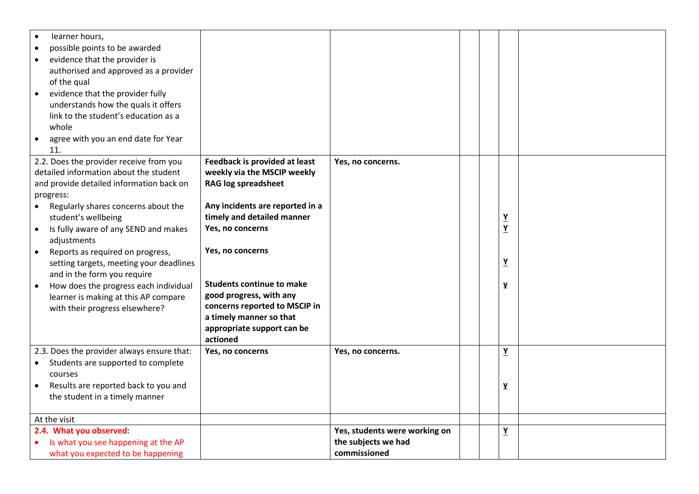| learner hours,<br>possible points to be awarded<br>$\bullet$<br>evidence that the provider is<br>$\bullet$<br>authorised and approved as a provider<br>of the qual<br>evidence that the provider fully<br>$\bullet$<br>understands how the quals it offers<br>link to the student's education as a<br>whole                                                                                                                                                                                                                |                                                                                                                                                                                                                                                                                                                                                                          |                                                                      |  |                                                                      |  |
|----------------------------------------------------------------------------------------------------------------------------------------------------------------------------------------------------------------------------------------------------------------------------------------------------------------------------------------------------------------------------------------------------------------------------------------------------------------------------------------------------------------------------|--------------------------------------------------------------------------------------------------------------------------------------------------------------------------------------------------------------------------------------------------------------------------------------------------------------------------------------------------------------------------|----------------------------------------------------------------------|--|----------------------------------------------------------------------|--|
| agree with you an end date for Year<br>$\bullet$<br>11.                                                                                                                                                                                                                                                                                                                                                                                                                                                                    |                                                                                                                                                                                                                                                                                                                                                                          |                                                                      |  |                                                                      |  |
| 2.2. Does the provider receive from you<br>detailed information about the student<br>and provide detailed information back on<br>progress:<br>Regularly shares concerns about the<br>student's wellbeing<br>Is fully aware of any SEND and makes<br>$\bullet$<br>adjustments<br>Reports as required on progress,<br>$\bullet$<br>setting targets, meeting your deadlines<br>and in the form you require<br>How does the progress each individual<br>learner is making at this AP compare<br>with their progress elsewhere? | Feedback is provided at least<br>weekly via the MSCIP weekly<br><b>RAG log spreadsheet</b><br>Any incidents are reported in a<br>timely and detailed manner<br>Yes, no concerns<br>Yes, no concerns<br><b>Students continue to make</b><br>good progress, with any<br>concerns reported to MSCIP in<br>a timely manner so that<br>appropriate support can be<br>actioned | Yes, no concerns.                                                    |  | $\underline{Y}$<br>$\underline{Y}$<br>$\underline{Y}$<br>$\mathbf y$ |  |
| 2.3. Does the provider always ensure that:<br>Students are supported to complete<br>courses<br>Results are reported back to you and<br>the student in a timely manner                                                                                                                                                                                                                                                                                                                                                      | Yes, no concerns                                                                                                                                                                                                                                                                                                                                                         | Yes, no concerns.                                                    |  | $\underline{Y}$<br>$\mathbf y$                                       |  |
| At the visit<br>2.4. What you observed:<br>Is what you see happening at the AP<br>what you expected to be happening                                                                                                                                                                                                                                                                                                                                                                                                        |                                                                                                                                                                                                                                                                                                                                                                          | Yes, students were working on<br>the subjects we had<br>commissioned |  | $\underline{Y}$                                                      |  |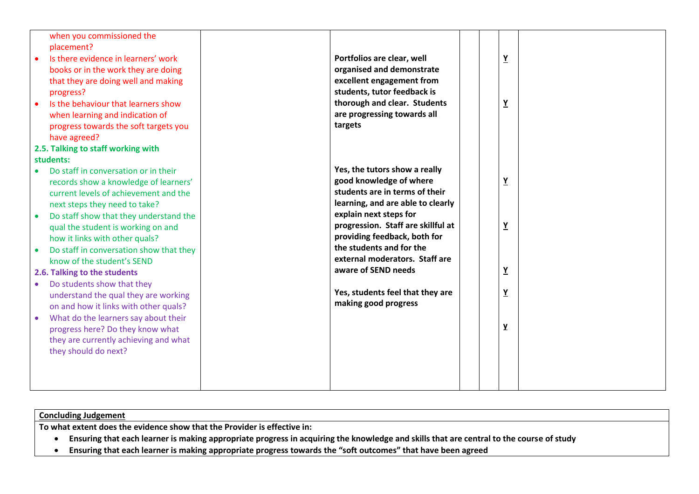| when you commissioned the<br>placement?<br>Is there evidence in learners' work<br>books or in the work they are doing<br>that they are doing well and making<br>progress?<br>Is the behaviour that learners show<br>when learning and indication of<br>progress towards the soft targets you<br>have agreed?<br>2.5. Talking to staff working with                                                                                                                                                                                                                                                                     | targets | Portfolios are clear, well<br>organised and demonstrate<br>excellent engagement from<br>students, tutor feedback is<br>thorough and clear. Students<br>are progressing towards all                                                                                                                                                                                               | $\underline{Y}$<br>$\underline{Y}$                                            |  |
|------------------------------------------------------------------------------------------------------------------------------------------------------------------------------------------------------------------------------------------------------------------------------------------------------------------------------------------------------------------------------------------------------------------------------------------------------------------------------------------------------------------------------------------------------------------------------------------------------------------------|---------|----------------------------------------------------------------------------------------------------------------------------------------------------------------------------------------------------------------------------------------------------------------------------------------------------------------------------------------------------------------------------------|-------------------------------------------------------------------------------|--|
| students:                                                                                                                                                                                                                                                                                                                                                                                                                                                                                                                                                                                                              |         |                                                                                                                                                                                                                                                                                                                                                                                  |                                                                               |  |
| Do staff in conversation or in their<br>records show a knowledge of learners'<br>current levels of achievement and the<br>next steps they need to take?<br>Do staff show that they understand the<br>qual the student is working on and<br>how it links with other quals?<br>Do staff in conversation show that they<br>know of the student's SEND<br>2.6. Talking to the students<br>Do students show that they<br>understand the qual they are working<br>on and how it links with other quals?<br>What do the learners say about their<br>progress here? Do they know what<br>they are currently achieving and what |         | Yes, the tutors show a really<br>good knowledge of where<br>students are in terms of their<br>learning, and are able to clearly<br>explain next steps for<br>progression. Staff are skillful at<br>providing feedback, both for<br>the students and for the<br>external moderators. Staff are<br>aware of SEND needs<br>Yes, students feel that they are<br>making good progress | $\underline{Y}$<br>$\underline{Y}$<br>$\underline{Y}$<br>$\underline{Y}$<br>Y |  |
| they should do next?                                                                                                                                                                                                                                                                                                                                                                                                                                                                                                                                                                                                   |         |                                                                                                                                                                                                                                                                                                                                                                                  |                                                                               |  |

| <b>Concluding Judgement</b>                                                                                                             |
|-----------------------------------------------------------------------------------------------------------------------------------------|
| To what extent does the evidence show that the Provider is effective in:                                                                |
| Ensuring that each learner is making appropriate progress in acquiring the knowledge and skills that are central to the course of study |
| Ensuring that each learner is making appropriate progress towards the "soft outcomes" that have been agreed                             |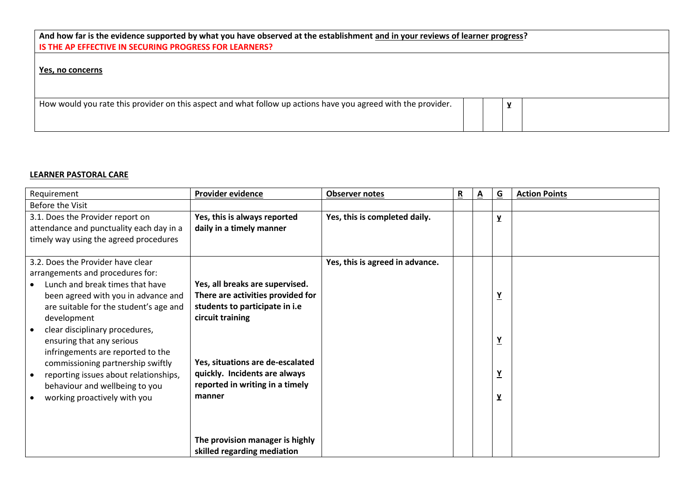| And how far is the evidence supported by what you have observed at the establishment and in your reviews of learner progress?<br>IS THE AP EFFECTIVE IN SECURING PROGRESS FOR LEARNERS? |  |  |              |  |  |  |  |  |
|-----------------------------------------------------------------------------------------------------------------------------------------------------------------------------------------|--|--|--------------|--|--|--|--|--|
| Yes, no concerns                                                                                                                                                                        |  |  |              |  |  |  |  |  |
| How would you rate this provider on this aspect and what follow up actions have you agreed with the provider.                                                                           |  |  | $\mathbf{v}$ |  |  |  |  |  |

## **LEARNER PASTORAL CARE**

| Requirement                                                                                                                                                                                                                                                                                                  | Provider evidence                                                                                                                                 | <b>Observer notes</b>           | R | $\underline{A}$ | $\overline{G}$                     | <b>Action Points</b> |
|--------------------------------------------------------------------------------------------------------------------------------------------------------------------------------------------------------------------------------------------------------------------------------------------------------------|---------------------------------------------------------------------------------------------------------------------------------------------------|---------------------------------|---|-----------------|------------------------------------|----------------------|
| Before the Visit                                                                                                                                                                                                                                                                                             |                                                                                                                                                   |                                 |   |                 |                                    |                      |
| 3.1. Does the Provider report on                                                                                                                                                                                                                                                                             | Yes, this is always reported                                                                                                                      | Yes, this is completed daily.   |   |                 | $\mathbf{Y}$                       |                      |
| attendance and punctuality each day in a                                                                                                                                                                                                                                                                     | daily in a timely manner                                                                                                                          |                                 |   |                 |                                    |                      |
| timely way using the agreed procedures                                                                                                                                                                                                                                                                       |                                                                                                                                                   |                                 |   |                 |                                    |                      |
| 3.2. Does the Provider have clear<br>arrangements and procedures for:<br>Lunch and break times that have<br>been agreed with you in advance and<br>are suitable for the student's age and<br>development<br>clear disciplinary procedures,<br>ensuring that any serious<br>infringements are reported to the | Yes, all breaks are supervised.<br>There are activities provided for<br>students to participate in i.e<br>circuit training                        | Yes, this is agreed in advance. |   |                 | $\underline{Y}$<br>$\underline{Y}$ |                      |
| commissioning partnership swiftly<br>reporting issues about relationships,<br>behaviour and wellbeing to you<br>working proactively with you                                                                                                                                                                 | Yes, situations are de-escalated<br>quickly. Incidents are always<br>reported in writing in a timely<br>manner<br>The provision manager is highly |                                 |   |                 | $\underline{Y}$<br>$\mathbf{Y}$    |                      |
|                                                                                                                                                                                                                                                                                                              | skilled regarding mediation                                                                                                                       |                                 |   |                 |                                    |                      |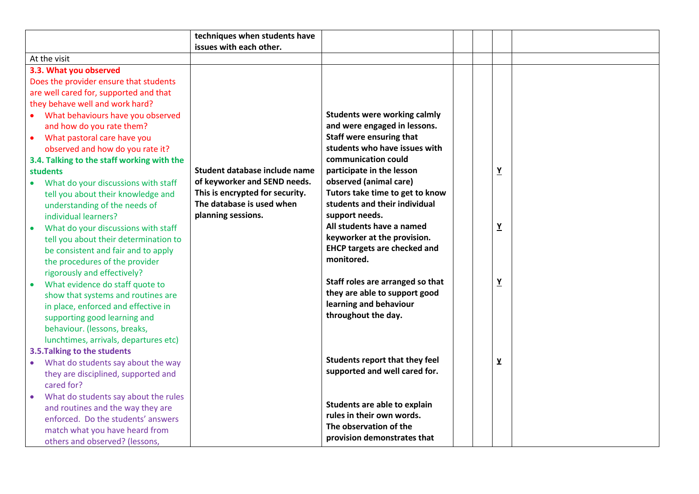|           |                                            | techniques when students have   |                                                           |  |                          |  |
|-----------|--------------------------------------------|---------------------------------|-----------------------------------------------------------|--|--------------------------|--|
|           |                                            | issues with each other.         |                                                           |  |                          |  |
|           | At the visit                               |                                 |                                                           |  |                          |  |
|           | 3.3. What you observed                     |                                 |                                                           |  |                          |  |
|           | Does the provider ensure that students     |                                 |                                                           |  |                          |  |
|           | are well cared for, supported and that     |                                 |                                                           |  |                          |  |
|           | they behave well and work hard?            |                                 |                                                           |  |                          |  |
|           | • What behaviours have you observed        |                                 | <b>Students were working calmly</b>                       |  |                          |  |
|           | and how do you rate them?                  |                                 | and were engaged in lessons.                              |  |                          |  |
| $\bullet$ | What pastoral care have you                |                                 | Staff were ensuring that                                  |  |                          |  |
|           | observed and how do you rate it?           |                                 | students who have issues with                             |  |                          |  |
|           | 3.4. Talking to the staff working with the |                                 | communication could                                       |  |                          |  |
|           | <b>students</b>                            | Student database include name   | participate in the lesson                                 |  | $\underline{\mathbf{Y}}$ |  |
| $\bullet$ | What do your discussions with staff        | of keyworker and SEND needs.    | observed (animal care)                                    |  |                          |  |
|           | tell you about their knowledge and         | This is encrypted for security. | Tutors take time to get to know                           |  |                          |  |
|           | understanding of the needs of              | The database is used when       | students and their individual                             |  |                          |  |
|           | individual learners?                       | planning sessions.              | support needs.                                            |  |                          |  |
|           | What do your discussions with staff        |                                 | All students have a named                                 |  | $\underline{Y}$          |  |
|           | tell you about their determination to      |                                 | keyworker at the provision.                               |  |                          |  |
|           | be consistent and fair and to apply        |                                 | <b>EHCP targets are checked and</b>                       |  |                          |  |
|           | the procedures of the provider             |                                 | monitored.                                                |  |                          |  |
|           | rigorously and effectively?                |                                 |                                                           |  |                          |  |
|           | What evidence do staff quote to            |                                 | Staff roles are arranged so that                          |  | $\underline{\mathbf{Y}}$ |  |
|           | show that systems and routines are         |                                 | they are able to support good                             |  |                          |  |
|           | in place, enforced and effective in        |                                 | learning and behaviour                                    |  |                          |  |
|           | supporting good learning and               |                                 | throughout the day.                                       |  |                          |  |
|           | behaviour. (lessons, breaks,               |                                 |                                                           |  |                          |  |
|           | lunchtimes, arrivals, departures etc)      |                                 |                                                           |  |                          |  |
|           | 3.5. Talking to the students               |                                 |                                                           |  |                          |  |
| $\bullet$ | What do students say about the way         |                                 | <b>Students report that they feel</b>                     |  | $\mathbf{Y}$             |  |
|           | they are disciplined, supported and        |                                 | supported and well cared for.                             |  |                          |  |
|           | cared for?                                 |                                 |                                                           |  |                          |  |
|           | What do students say about the rules       |                                 |                                                           |  |                          |  |
|           | and routines and the way they are          |                                 | Students are able to explain<br>rules in their own words. |  |                          |  |
|           | enforced. Do the students' answers         |                                 | The observation of the                                    |  |                          |  |
|           | match what you have heard from             |                                 |                                                           |  |                          |  |
|           | others and observed? (lessons,             |                                 | provision demonstrates that                               |  |                          |  |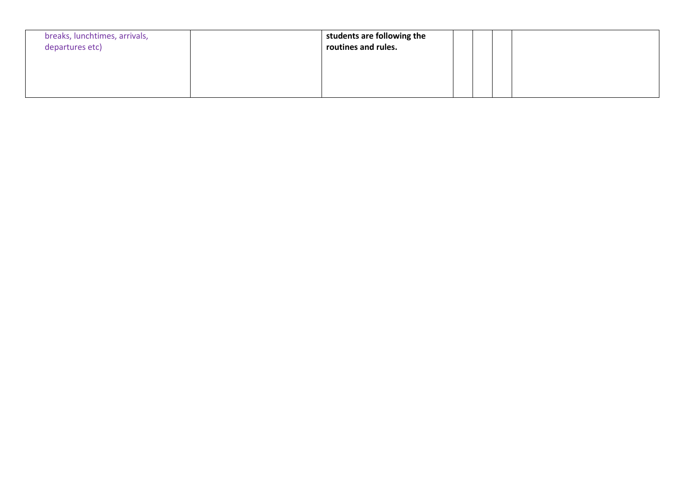| breaks, lunchtimes, arrivals,<br>departures etc) | students are following the<br>routines and rules. |  |  |
|--------------------------------------------------|---------------------------------------------------|--|--|
|                                                  |                                                   |  |  |
|                                                  |                                                   |  |  |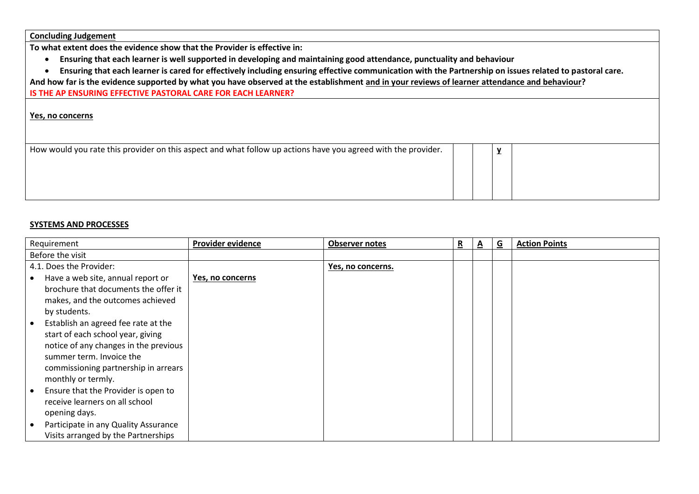**Concluding Judgement**

**To what extent does the evidence show that the Provider is effective in:**

- **Ensuring that each learner is well supported in developing and maintaining good attendance, punctuality and behaviour**
- **Ensuring that each learner is cared for effectively including ensuring effective communication with the Partnership on issues related to pastoral care.**

**And how far is the evidence supported by what you have observed at the establishment and in your reviews of learner attendance and behaviour?**

**IS THE AP ENSURING EFFECTIVE PASTORAL CARE FOR EACH LEARNER?**

#### **Yes, no concerns**

| How would you rate this provider on this aspect and what follow up actions have you agreed with the provider. |  |  |
|---------------------------------------------------------------------------------------------------------------|--|--|
|                                                                                                               |  |  |
|                                                                                                               |  |  |
|                                                                                                               |  |  |
|                                                                                                               |  |  |

#### **SYSTEMS AND PROCESSES**

| Requirement                                       | <b>Provider evidence</b> | <b>Observer notes</b> | R | A | G | <b>Action Points</b> |
|---------------------------------------------------|--------------------------|-----------------------|---|---|---|----------------------|
| Before the visit                                  |                          |                       |   |   |   |                      |
| 4.1. Does the Provider:                           |                          | Yes, no concerns.     |   |   |   |                      |
| Have a web site, annual report or<br>$\bullet$    | Yes, no concerns         |                       |   |   |   |                      |
| brochure that documents the offer it              |                          |                       |   |   |   |                      |
| makes, and the outcomes achieved                  |                          |                       |   |   |   |                      |
| by students.                                      |                          |                       |   |   |   |                      |
| Establish an agreed fee rate at the<br>$\bullet$  |                          |                       |   |   |   |                      |
| start of each school year, giving                 |                          |                       |   |   |   |                      |
| notice of any changes in the previous             |                          |                       |   |   |   |                      |
| summer term. Invoice the                          |                          |                       |   |   |   |                      |
| commissioning partnership in arrears              |                          |                       |   |   |   |                      |
| monthly or termly.                                |                          |                       |   |   |   |                      |
| Ensure that the Provider is open to<br>$\bullet$  |                          |                       |   |   |   |                      |
| receive learners on all school                    |                          |                       |   |   |   |                      |
| opening days.                                     |                          |                       |   |   |   |                      |
| Participate in any Quality Assurance<br>$\bullet$ |                          |                       |   |   |   |                      |
| Visits arranged by the Partnerships               |                          |                       |   |   |   |                      |